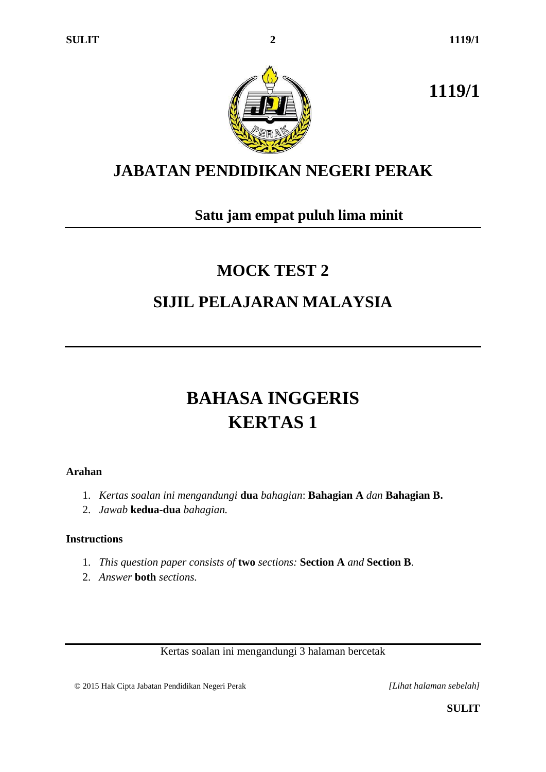**1119/1**



# **JABATAN PENDIDIKAN NEGERI PERAK**

## **Satu jam empat puluh lima minit**

# **MOCK TEST 2 SIJIL PELAJARAN MALAYSIA**

# **BAHASA INGGERIS KERTAS 1**

### **Arahan**

- 1. *Kertas soalan ini mengandungi* **dua** *bahagian*: **Bahagian A** *dan* **Bahagian B.**
- 2. *Jawab* **kedua-dua** *bahagian.*

## **Instructions**

- 1. *This question paper consists of* **two** *sections:* **Section A** *and* **Section B**.
- 2. *Answer* **both** *sections.*

Kertas soalan ini mengandungi 3 halaman bercetak

© 2015 Hak Cipta Jabatan Pendidikan Negeri Perak *[Lihat halaman sebelah]*

**SULIT**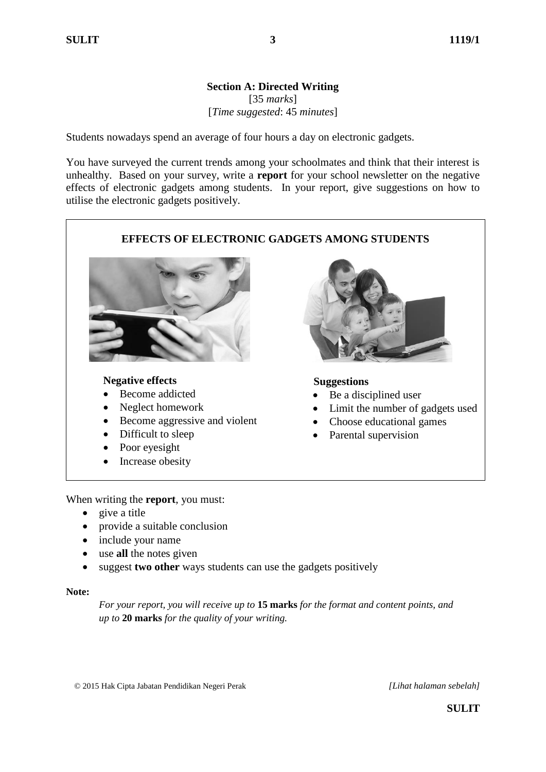#### **Section A: Directed Writing** [35 *marks*] [*Time suggested*: 45 *minutes*]

Students nowadays spend an average of four hours a day on electronic gadgets.

You have surveyed the current trends among your schoolmates and think that their interest is unhealthy. Based on your survey, write a **report** for your school newsletter on the negative effects of electronic gadgets among students. In your report, give suggestions on how to utilise the electronic gadgets positively.



When writing the **report**, you must:

- give a title
- provide a suitable conclusion
- include your name
- use **all** the notes given
- suggest **two other** ways students can use the gadgets positively

#### **Note:**

*For your report, you will receive up to* **15 marks** *for the format and content points, and up to* **20 marks** *for the quality of your writing.*